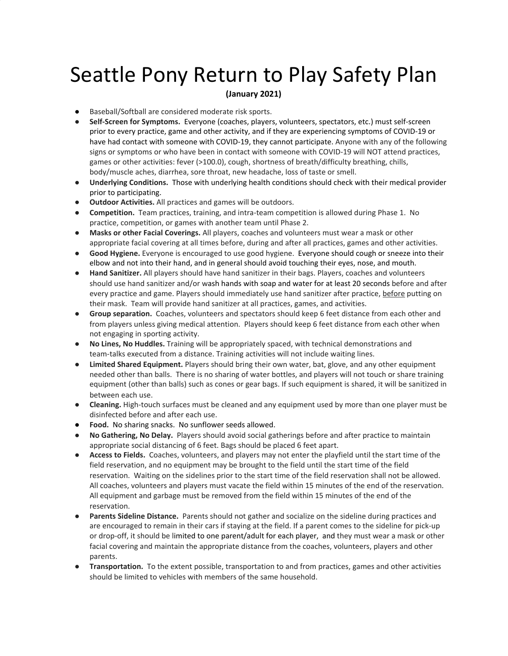## Seattle Pony Return to Play Safety Plan

## **(January 2021)**

- **●** Baseball/Softball are considered moderate risk sports.
- **Self-Screen for Symptoms.** Everyone (coaches, players, volunteers, spectators, etc.) must self-screen prior to every practice, game and other activity, and if they are experiencing symptoms of COVID-19 or have had contact with someone with COVID-19, they cannot participate. Anyone with any of the following signs or symptoms or who have been in contact with someone with COVID-19 will NOT attend practices, games or other activities: fever (>100.0), cough, shortness of breath/difficulty breathing, chills, body/muscle aches, diarrhea, sore throat, new headache, loss of taste or smell.
- **Underlying Conditions.** Those with underlying health conditions should check with their medical provider prior to participating.
- **Outdoor Activities.** All practices and games will be outdoors.
- **Competition.** Team practices, training, and intra-team competition is allowed during Phase 1. No practice, competition, or games with another team until Phase 2.
- **Masks or other Facial Coverings.** All players, coaches and volunteers must wear a mask or other appropriate facial covering at all times before, during and after all practices, games and other activities.
- **Good Hygiene.** Everyone is encouraged to use good hygiene. Everyone should cough or sneeze into their elbow and not into their hand, and in general should avoid touching their eyes, nose, and mouth.
- **Hand Sanitizer.** All players should have hand sanitizer in their bags. Players, coaches and volunteers should use hand sanitizer and/or wash hands with soap and water for at least 20 seconds before and after every practice and game. Players should immediately use hand sanitizer after practice, before putting on their mask. Team will provide hand sanitizer at all practices, games, and activities.
- **Group separation.** Coaches, volunteers and spectators should keep 6 feet distance from each other and from players unless giving medical attention. Players should keep 6 feet distance from each other when not engaging in sporting activity.
- **No Lines, No Huddles.** Training will be appropriately spaced, with technical demonstrations and team-talks executed from a distance. Training activities will not include waiting lines.
- **Limited Shared Equipment.** Players should bring their own water, bat, glove, and any other equipment needed other than balls. There is no sharing of water bottles, and players will not touch or share training equipment (other than balls) such as cones or gear bags. If such equipment is shared, it will be sanitized in between each use.
- **Cleaning.** High-touch surfaces must be cleaned and any equipment used by more than one player must be disinfected before and after each use.
- **Food.** No sharing snacks. No sunflower seeds allowed.
- **No Gathering, No Delay.** Players should avoid social gatherings before and after practice to maintain appropriate social distancing of 6 feet. Bags should be placed 6 feet apart.
- **Access to Fields.** Coaches, volunteers, and players may not enter the playfield until the start time of the field reservation, and no equipment may be brought to the field until the start time of the field reservation. Waiting on the sidelines prior to the start time of the field reservation shall not be allowed. All coaches, volunteers and players must vacate the field within 15 minutes of the end of the reservation. All equipment and garbage must be removed from the field within 15 minutes of the end of the reservation.
- **Parents Sideline Distance.** Parents should not gather and socialize on the sideline during practices and are encouraged to remain in their cars if staying at the field. If a parent comes to the sideline for pick-up or drop-off, it should be limited to one parent/adult for each player, and they must wear a mask or other facial covering and maintain the appropriate distance from the coaches, volunteers, players and other parents.
- **Transportation.** To the extent possible, transportation to and from practices, games and other activities should be limited to vehicles with members of the same household.